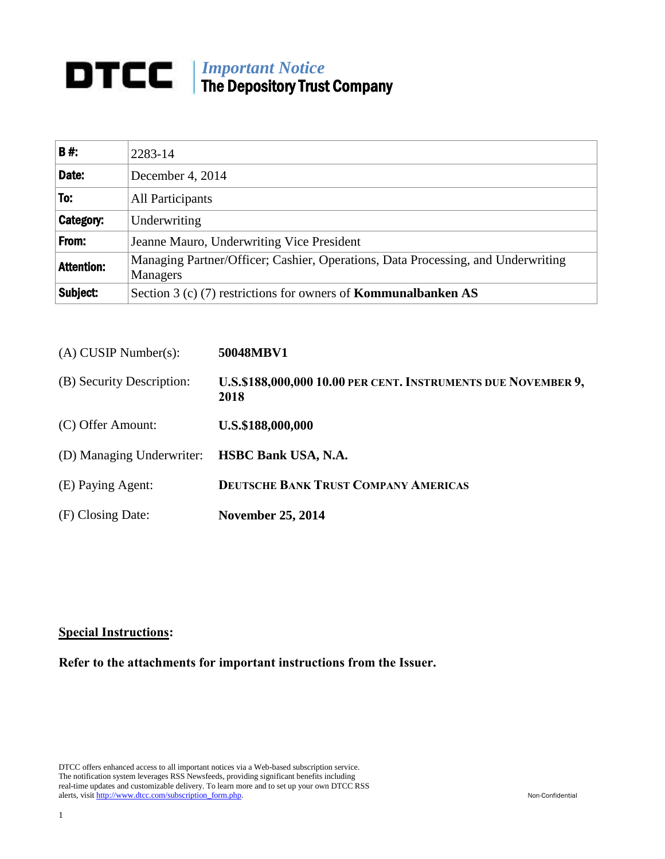## *Important Notice* The Depository Trust Company

| <b>B#:</b>        | 2283-14                                                                                             |
|-------------------|-----------------------------------------------------------------------------------------------------|
| Date:             | December 4, 2014                                                                                    |
| To:               | <b>All Participants</b>                                                                             |
| Category:         | Underwriting                                                                                        |
| From:             | Jeanne Mauro, Underwriting Vice President                                                           |
| <b>Attention:</b> | Managing Partner/Officer; Cashier, Operations, Data Processing, and Underwriting<br><b>Managers</b> |
| Subject:          | Section 3 (c) (7) restrictions for owners of <b>Kommunalbanken</b> $AS$                             |

| $(A)$ CUSIP Number(s):    | 50048MBV1                                                             |  |
|---------------------------|-----------------------------------------------------------------------|--|
| (B) Security Description: | U.S.\$188,000,000 10.00 PER CENT. INSTRUMENTS DUE NOVEMBER 9,<br>2018 |  |
| (C) Offer Amount:         | U.S.\$188,000,000                                                     |  |
| (D) Managing Underwriter: | <b>HSBC Bank USA, N.A.</b>                                            |  |
| (E) Paying Agent:         | <b>DEUTSCHE BANK TRUST COMPANY AMERICAS</b>                           |  |
| (F) Closing Date:         | <b>November 25, 2014</b>                                              |  |

## **Special Instructions:**

**Refer to the attachments for important instructions from the Issuer.**

DTCC offers enhanced access to all important notices via a Web-based subscription service. The notification system leverages RSS Newsfeeds, providing significant benefits including real-time updates and customizable delivery. To learn more and to set up your own DTCC RSS alerts, visit [http://www.dtcc.com/subscription\\_form.php.](http://www.dtcc.com/subscription_form.php) Non-Confidential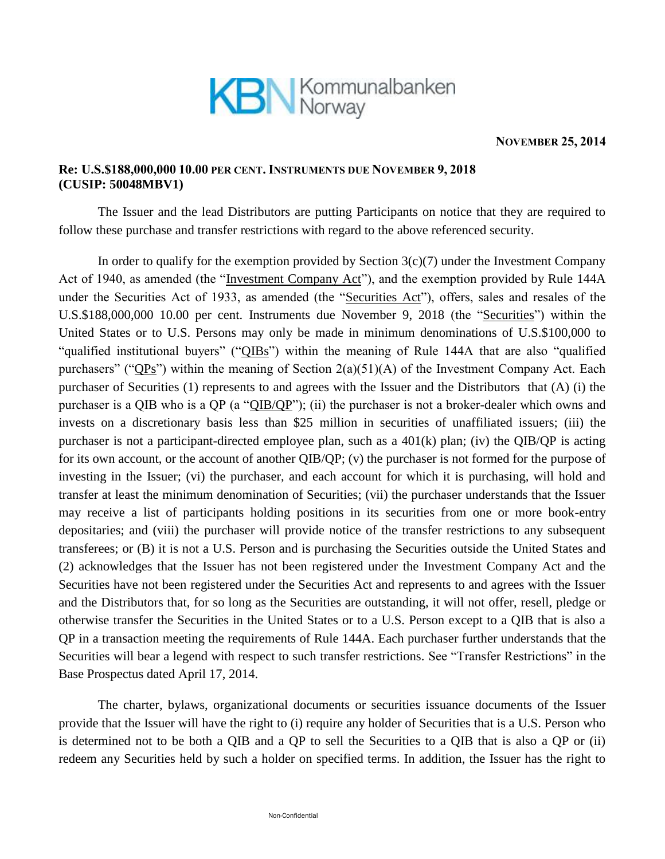

## **NOVEMBER 25, 2014**

## **Re: U.S.\$188,000,000 10.00 PER CENT. INSTRUMENTS DUE NOVEMBER 9, 2018 (CUSIP: 50048MBV1)**

The Issuer and the lead Distributors are putting Participants on notice that they are required to follow these purchase and transfer restrictions with regard to the above referenced security.

In order to qualify for the exemption provided by Section  $3(c)(7)$  under the Investment Company Act of 1940, as amended (the "Investment Company Act"), and the exemption provided by Rule 144A under the Securities Act of 1933, as amended (the "Securities Act"), offers, sales and resales of the U.S.\$188,000,000 10.00 per cent. Instruments due November 9, 2018 (the "Securities") within the United States or to U.S. Persons may only be made in minimum denominations of U.S.\$100,000 to "qualified institutional buyers" ("QIBs") within the meaning of Rule 144A that are also "qualified purchasers" (" $QPs$ ") within the meaning of Section 2(a)(51)(A) of the Investment Company Act. Each purchaser of Securities (1) represents to and agrees with the Issuer and the Distributors that (A) (i) the purchaser is a QIB who is a QP (a "QIB/QP"); (ii) the purchaser is not a broker-dealer which owns and invests on a discretionary basis less than \$25 million in securities of unaffiliated issuers; (iii) the purchaser is not a participant-directed employee plan, such as a 401(k) plan; (iv) the QIB/QP is acting for its own account, or the account of another QIB/QP; (v) the purchaser is not formed for the purpose of investing in the Issuer; (vi) the purchaser, and each account for which it is purchasing, will hold and transfer at least the minimum denomination of Securities; (vii) the purchaser understands that the Issuer may receive a list of participants holding positions in its securities from one or more book-entry depositaries; and (viii) the purchaser will provide notice of the transfer restrictions to any subsequent transferees; or (B) it is not a U.S. Person and is purchasing the Securities outside the United States and (2) acknowledges that the Issuer has not been registered under the Investment Company Act and the Securities have not been registered under the Securities Act and represents to and agrees with the Issuer and the Distributors that, for so long as the Securities are outstanding, it will not offer, resell, pledge or otherwise transfer the Securities in the United States or to a U.S. Person except to a QIB that is also a QP in a transaction meeting the requirements of Rule 144A. Each purchaser further understands that the Securities will bear a legend with respect to such transfer restrictions. See "Transfer Restrictions" in the Base Prospectus dated April 17, 2014.

The charter, bylaws, organizational documents or securities issuance documents of the Issuer provide that the Issuer will have the right to (i) require any holder of Securities that is a U.S. Person who is determined not to be both a QIB and a QP to sell the Securities to a QIB that is also a QP or (ii) redeem any Securities held by such a holder on specified terms. In addition, the Issuer has the right to